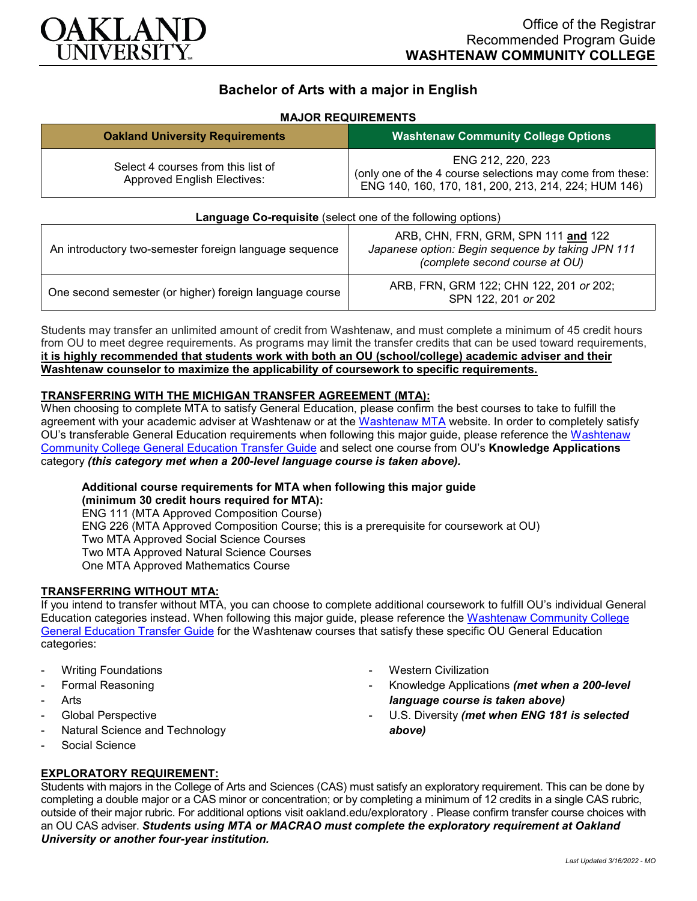

# **Bachelor of Arts with a major in English**

### **MAJOR REQUIREMENTS**

| <b>Oakland University Requirements</b>                                   | <b>Washtenaw Community College Options</b>                                                                                             |
|--------------------------------------------------------------------------|----------------------------------------------------------------------------------------------------------------------------------------|
| Select 4 courses from this list of<br><b>Approved English Electives:</b> | ENG 212, 220, 223<br>(only one of the 4 course selections may come from these:<br>ENG 140, 160, 170, 181, 200, 213, 214, 224; HUM 146) |

| Language Co-requisite (select one of the following options) |                                                                                                                            |
|-------------------------------------------------------------|----------------------------------------------------------------------------------------------------------------------------|
| An introductory two-semester foreign language sequence      | ARB, CHN, FRN, GRM, SPN 111 and 122<br>Japanese option: Begin sequence by taking JPN 111<br>(complete second course at OU) |
| One second semester (or higher) foreign language course     | ARB, FRN, GRM 122; CHN 122, 201 or 202;<br>SPN 122, 201 or 202                                                             |

Students may transfer an unlimited amount of credit from Washtenaw, and must complete a minimum of 45 credit hours from OU to meet degree requirements. As programs may limit the transfer credits that can be used toward requirements, **it is highly recommended that students work with both an OU (school/college) academic adviser and their Washtenaw counselor to maximize the applicability of coursework to specific requirements.**

## **TRANSFERRING WITH THE MICHIGAN TRANSFER AGREEMENT (MTA):**

When choosing to complete MTA to satisfy General Education, please confirm the best courses to take to fulfill the agreement with your academic adviser at Washtenaw or at the [Washtenaw MTA](https://www.wccnet.edu/learn/transfer-wcc-credits/mta.php) website. In order to completely satisfy OU's transferable General Education requirements when following this major guide, please reference the [Washtenaw](https://www.oakland.edu/Assets/Oakland/program-guides/washtenaw-community-college/university-general-education-requirements/Washtenaw%20Gen%20Ed.pdf)  [Community College General Education Transfer Guide](https://www.oakland.edu/Assets/Oakland/program-guides/washtenaw-community-college/university-general-education-requirements/Washtenaw%20Gen%20Ed.pdf) and select one course from OU's **Knowledge Applications** category *(this category met when a 200-level language course is taken above).*

#### **Additional course requirements for MTA when following this major guide**

**(minimum 30 credit hours required for MTA):** ENG 111 (MTA Approved Composition Course) ENG 226 (MTA Approved Composition Course; this is a prerequisite for coursework at OU) Two MTA Approved Social Science Courses Two MTA Approved Natural Science Courses One MTA Approved Mathematics Course

## **TRANSFERRING WITHOUT MTA:**

If you intend to transfer without MTA, you can choose to complete additional coursework to fulfill OU's individual General Education categories instead. When following this major guide, please reference the [Washtenaw Community College](https://www.oakland.edu/Assets/Oakland/program-guides/washtenaw-community-college/university-general-education-requirements/Washtenaw%20Gen%20Ed.pdf)  [General Education Transfer Guide](https://www.oakland.edu/Assets/Oakland/program-guides/washtenaw-community-college/university-general-education-requirements/Washtenaw%20Gen%20Ed.pdf) for the Washtenaw courses that satisfy these specific OU General Education categories:

- **Writing Foundations**
- Formal Reasoning
- **Arts**
- Global Perspective
- Natural Science and Technology
- Social Science

## **EXPLORATORY REQUIREMENT:**

- **Western Civilization**
- Knowledge Applications *(met when a 200-level language course is taken above)*
- U.S. Diversity *(met when ENG 181 is selected above)*

Students with majors in the College of Arts and Sciences (CAS) must satisfy an exploratory requirement. This can be done by completing a double major or a CAS minor or concentration; or by completing a minimum of 12 credits in a single CAS rubric, outside of their major rubric. For additional options visit [oakland.edu/exploratory](http://www.oakland.edu/exploratory) . Please confirm transfer course choices with an OU CAS adviser. *Students using MTA or MACRAO must complete the exploratory requirement at Oakland University or another four-year institution.*